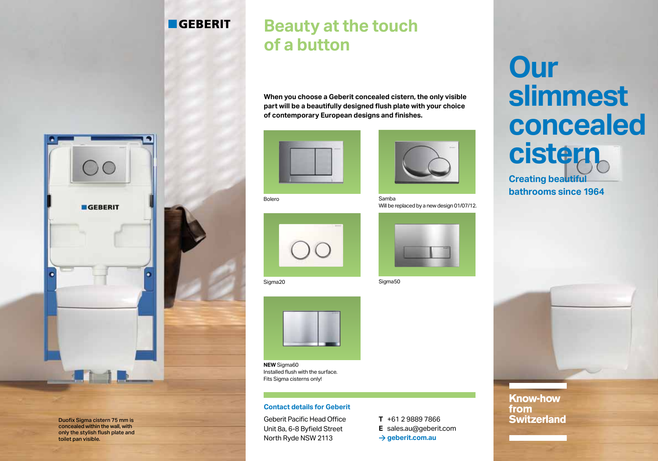## **GEBERIT**

## **Beauty at the touch of a button**

**When you choose a Geberit concealed cistern, the only visible part will be a beautifully designed flush plate with your choice of contemporary European designs and finishes.**





Bolero

Samba Will be replaced by a new design 01/07/12.



Sigma20 Sigma50



**NEW** Sigma60 Installed flush with the surface. Fits Sigma cisterns only!

### **Contact details for Geberit**

Geberit Pacific Head Office Unit 8a, 6-8 Byfield Street North Ryde NSW 2113

**T** +61 2 9889 7866 **E** sales.au@geberit.com **> geberit.com.au**



**Know-how** 

**Switzerland** 

from



Duofix Sigma cistern 75 mm is concealed within the wall, with only the stylish flush plate and toilet pan visible.